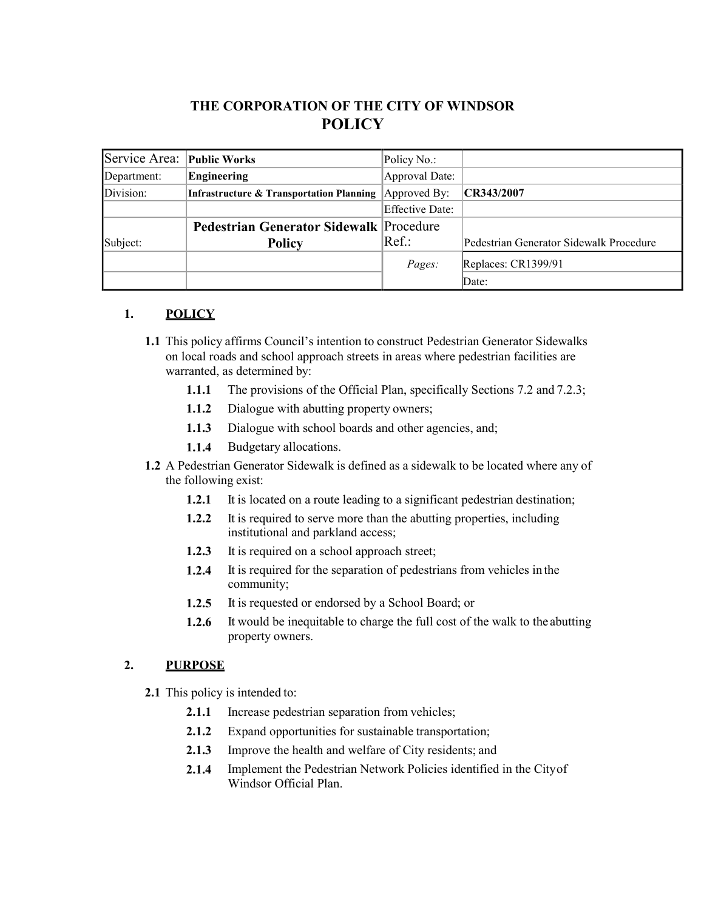# **THE CORPORATION OF THE CITY OF WINDSOR POLICY**

| Service Area: Public Works |                                                     | Policy No.:            |                                         |
|----------------------------|-----------------------------------------------------|------------------------|-----------------------------------------|
| Department:                | Engineering                                         | Approval Date:         |                                         |
| Division:                  | <b>Infrastructure &amp; Transportation Planning</b> | Approved By:           | CR343/2007                              |
|                            |                                                     | <b>Effective Date:</b> |                                         |
|                            | Pedestrian Generator Sidewalk Procedure             |                        |                                         |
| Subject:                   | <b>Policy</b>                                       | Ref.:                  | Pedestrian Generator Sidewalk Procedure |
|                            |                                                     | Pages:                 | Replaces: CR1399/91                     |
|                            |                                                     |                        | Date:                                   |

## **1. POLICY**

- **1.1** This policy affirms Council's intention to construct Pedestrian Generator Sidewalks on local roads and school approach streets in areas where pedestrian facilities are warranted, as determined by:
	- **1.1.1** The provisions of the Official Plan, specifically Sections 7.2 and 7.2.3;
	- **1.1.2** Dialogue with abutting property owners;
	- **1.1.3** Dialogue with school boards and other agencies, and;
	- **1.1.4** Budgetary allocations.
- **1.2** A Pedestrian Generator Sidewalk is defined as a sidewalk to be located where any of the following exist:
	- **1.2.1** It is located on a route leading to a significant pedestrian destination;
	- **1.2.2** It is required to serve more than the abutting properties, including institutional and parkland access;
	- **1.2.3** It is required on a school approach street;
	- **1.2.4** It is required for the separation of pedestrians from vehicles in the community;
	- **1.2.5** It is requested or endorsed by a School Board; or
	- **1.2.6** It would be inequitable to charge the full cost of the walk to the abutting property owners.

## **2. PURPOSE**

- **2.1** This policy is intended to:
	- **2.1.1** Increase pedestrian separation from vehicles;
	- **2.1.2** Expand opportunities for sustainable transportation;
	- **2.1.3** Improve the health and welfare of City residents; and
	- **2.1.4** Implement the Pedestrian Network Policies identified in the Cityof Windsor Official Plan.